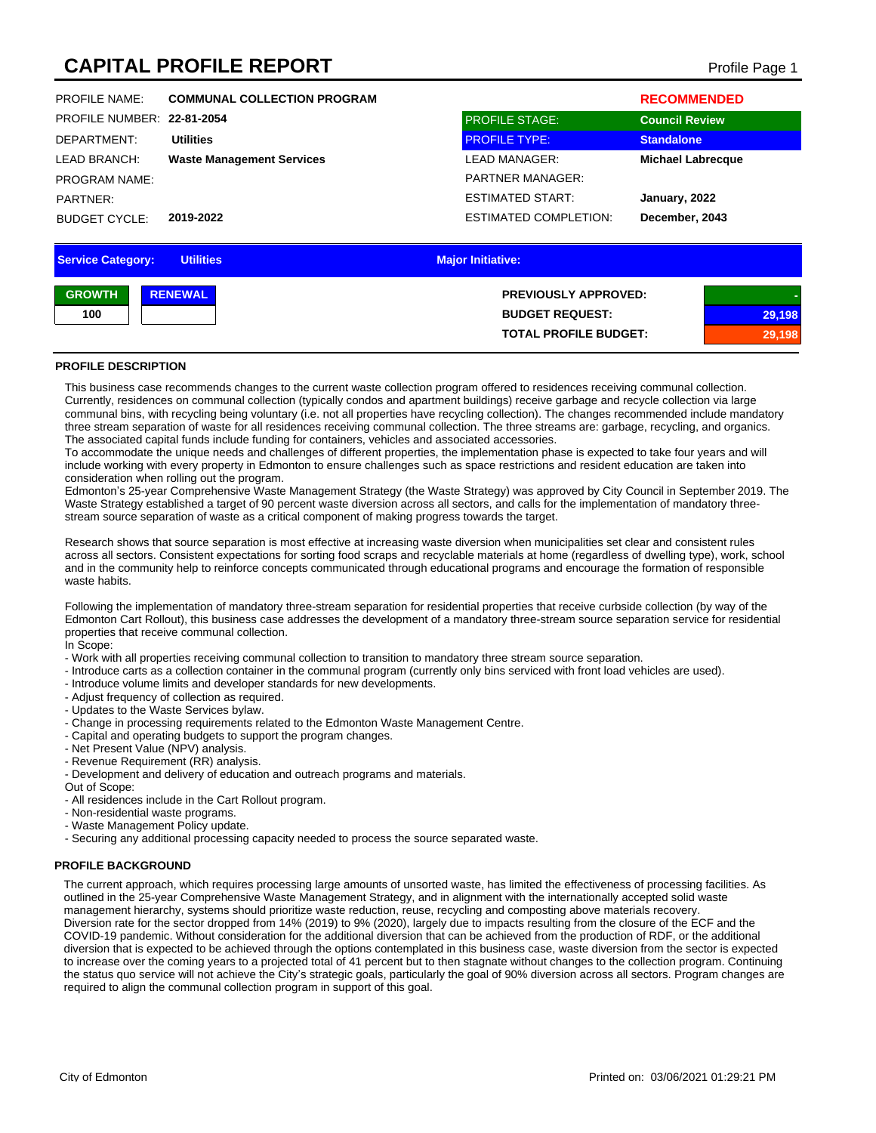# **CAPITAL PROFILE REPORT** Profile Page 1

| <b>Service Category:</b>   | <b>Utilities</b>                   | <b>Major Initiative:</b>     |                          |
|----------------------------|------------------------------------|------------------------------|--------------------------|
|                            |                                    |                              |                          |
| <b>BUDGET CYCLE:</b>       | 2019-2022                          | <b>ESTIMATED COMPLETION:</b> | December, 2043           |
| PARTNER:                   |                                    | <b>ESTIMATED START:</b>      | January, 2022            |
| <b>PROGRAM NAME:</b>       |                                    | <b>PARTNER MANAGER:</b>      |                          |
| <b>LEAD BRANCH:</b>        | <b>Waste Management Services</b>   | <b>LEAD MANAGER:</b>         | <b>Michael Labrecque</b> |
| DEPARTMENT:                | <b>Utilities</b>                   | <b>PROFILE TYPE:</b>         | <b>Standalone</b>        |
| PROFILE NUMBER: 22-81-2054 |                                    | <b>PROFILE STAGE:</b>        | <b>Council Review</b>    |
| <b>PROFILE NAME:</b>       | <b>COMMUNAL COLLECTION PROGRAM</b> |                              | <b>RECOMMENDED</b>       |
|                            |                                    |                              |                          |

| <b>GROWTH</b> | <b>RENEWAL</b> | <b>PREVIOUSLY APPROVED:</b>  |        |
|---------------|----------------|------------------------------|--------|
| 100           |                | <b>BUDGET REQUEST:</b>       | 29,198 |
|               |                | <b>TOTAL PROFILE BUDGET:</b> | \198`  |

### **PROFILE DESCRIPTION**

This business case recommends changes to the current waste collection program offered to residences receiving communal collection. Currently, residences on communal collection (typically condos and apartment buildings) receive garbage and recycle collection via large communal bins, with recycling being voluntary (i.e. not all properties have recycling collection). The changes recommended include mandatory three stream separation of waste for all residences receiving communal collection. The three streams are: garbage, recycling, and organics. The associated capital funds include funding for containers, vehicles and associated accessories.

To accommodate the unique needs and challenges of different properties, the implementation phase is expected to take four years and will include working with every property in Edmonton to ensure challenges such as space restrictions and resident education are taken into consideration when rolling out the program.

Edmonton's 25-year Comprehensive Waste Management Strategy (the Waste Strategy) was approved by City Council in September 2019. The Waste Strategy established a target of 90 percent waste diversion across all sectors, and calls for the implementation of mandatory threestream source separation of waste as a critical component of making progress towards the target.

Research shows that source separation is most effective at increasing waste diversion when municipalities set clear and consistent rules across all sectors. Consistent expectations for sorting food scraps and recyclable materials at home (regardless of dwelling type), work, school and in the community help to reinforce concepts communicated through educational programs and encourage the formation of responsible waste habits.

Following the implementation of mandatory three-stream separation for residential properties that receive curbside collection (by way of the Edmonton Cart Rollout), this business case addresses the development of a mandatory three-stream source separation service for residential properties that receive communal collection.

In Scope:

- Work with all properties receiving communal collection to transition to mandatory three stream source separation.
- Introduce carts as a collection container in the communal program (currently only bins serviced with front load vehicles are used).
- Introduce volume limits and developer standards for new developments.
- Adjust frequency of collection as required.
- Updates to the Waste Services bylaw.
- Change in processing requirements related to the Edmonton Waste Management Centre.
- Capital and operating budgets to support the program changes.
- Net Present Value (NPV) analysis.
- Revenue Requirement (RR) analysis.
- Development and delivery of education and outreach programs and materials.

Out of Scope:

- All residences include in the Cart Rollout program.
- Non-residential waste programs.
- Waste Management Policy update.
- Securing any additional processing capacity needed to process the source separated waste.

#### **PROFILE BACKGROUND**

The current approach, which requires processing large amounts of unsorted waste, has limited the effectiveness of processing facilities. As outlined in the 25-year Comprehensive Waste Management Strategy, and in alignment with the internationally accepted solid waste management hierarchy, systems should prioritize waste reduction, reuse, recycling and composting above materials recovery. Diversion rate for the sector dropped from 14% (2019) to 9% (2020), largely due to impacts resulting from the closure of the ECF and the COVID-19 pandemic. Without consideration for the additional diversion that can be achieved from the production of RDF, or the additional diversion that is expected to be achieved through the options contemplated in this business case, waste diversion from the sector is expected to increase over the coming years to a projected total of 41 percent but to then stagnate without changes to the collection program. Continuing the status quo service will not achieve the City's strategic goals, particularly the goal of 90% diversion across all sectors. Program changes are required to align the communal collection program in support of this goal.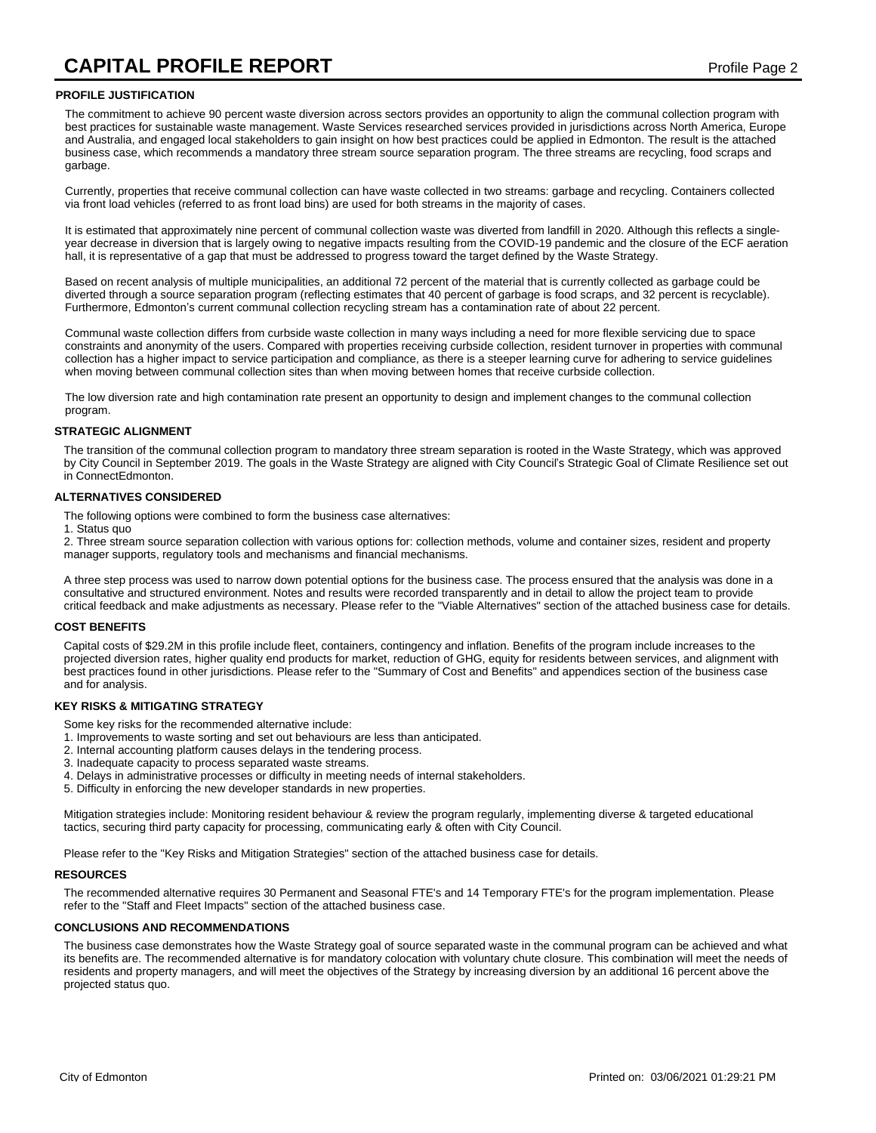#### **PROFILE JUSTIFICATION**

The commitment to achieve 90 percent waste diversion across sectors provides an opportunity to align the communal collection program with best practices for sustainable waste management. Waste Services researched services provided in jurisdictions across North America, Europe and Australia, and engaged local stakeholders to gain insight on how best practices could be applied in Edmonton. The result is the attached business case, which recommends a mandatory three stream source separation program. The three streams are recycling, food scraps and garbage.

Currently, properties that receive communal collection can have waste collected in two streams: garbage and recycling. Containers collected via front load vehicles (referred to as front load bins) are used for both streams in the majority of cases.

It is estimated that approximately nine percent of communal collection waste was diverted from landfill in 2020. Although this reflects a singleyear decrease in diversion that is largely owing to negative impacts resulting from the COVID-19 pandemic and the closure of the ECF aeration hall, it is representative of a gap that must be addressed to progress toward the target defined by the Waste Strategy.

Based on recent analysis of multiple municipalities, an additional 72 percent of the material that is currently collected as garbage could be diverted through a source separation program (reflecting estimates that 40 percent of garbage is food scraps, and 32 percent is recyclable). Furthermore, Edmonton's current communal collection recycling stream has a contamination rate of about 22 percent.

Communal waste collection differs from curbside waste collection in many ways including a need for more flexible servicing due to space constraints and anonymity of the users. Compared with properties receiving curbside collection, resident turnover in properties with communal collection has a higher impact to service participation and compliance, as there is a steeper learning curve for adhering to service guidelines when moving between communal collection sites than when moving between homes that receive curbside collection.

The low diversion rate and high contamination rate present an opportunity to design and implement changes to the communal collection program.

#### **STRATEGIC ALIGNMENT**

The transition of the communal collection program to mandatory three stream separation is rooted in the Waste Strategy, which was approved by City Council in September 2019. The goals in the Waste Strategy are aligned with City Council's Strategic Goal of Climate Resilience set out in ConnectEdmonton.

#### **ALTERNATIVES CONSIDERED**

The following options were combined to form the business case alternatives:

1. Status quo

2. Three stream source separation collection with various options for: collection methods, volume and container sizes, resident and property manager supports, regulatory tools and mechanisms and financial mechanisms.

A three step process was used to narrow down potential options for the business case. The process ensured that the analysis was done in a consultative and structured environment. Notes and results were recorded transparently and in detail to allow the project team to provide critical feedback and make adjustments as necessary. Please refer to the "Viable Alternatives" section of the attached business case for details.

#### **COST BENEFITS**

Capital costs of \$29.2M in this profile include fleet, containers, contingency and inflation. Benefits of the program include increases to the projected diversion rates, higher quality end products for market, reduction of GHG, equity for residents between services, and alignment with best practices found in other jurisdictions. Please refer to the "Summary of Cost and Benefits" and appendices section of the business case and for analysis.

#### **KEY RISKS & MITIGATING STRATEGY**

Some key risks for the recommended alternative include:

- 1. Improvements to waste sorting and set out behaviours are less than anticipated.
- 2. Internal accounting platform causes delays in the tendering process.
- 3. Inadequate capacity to process separated waste streams.
- 4. Delays in administrative processes or difficulty in meeting needs of internal stakeholders.
- 5. Difficulty in enforcing the new developer standards in new properties.

Mitigation strategies include: Monitoring resident behaviour & review the program regularly, implementing diverse & targeted educational tactics, securing third party capacity for processing, communicating early & often with City Council.

Please refer to the "Key Risks and Mitigation Strategies" section of the attached business case for details.

#### **RESOURCES**

The recommended alternative requires 30 Permanent and Seasonal FTE's and 14 Temporary FTE's for the program implementation. Please refer to the "Staff and Fleet Impacts" section of the attached business case.

#### **CONCLUSIONS AND RECOMMENDATIONS**

The business case demonstrates how the Waste Strategy goal of source separated waste in the communal program can be achieved and what its benefits are. The recommended alternative is for mandatory colocation with voluntary chute closure. This combination will meet the needs of residents and property managers, and will meet the objectives of the Strategy by increasing diversion by an additional 16 percent above the projected status quo.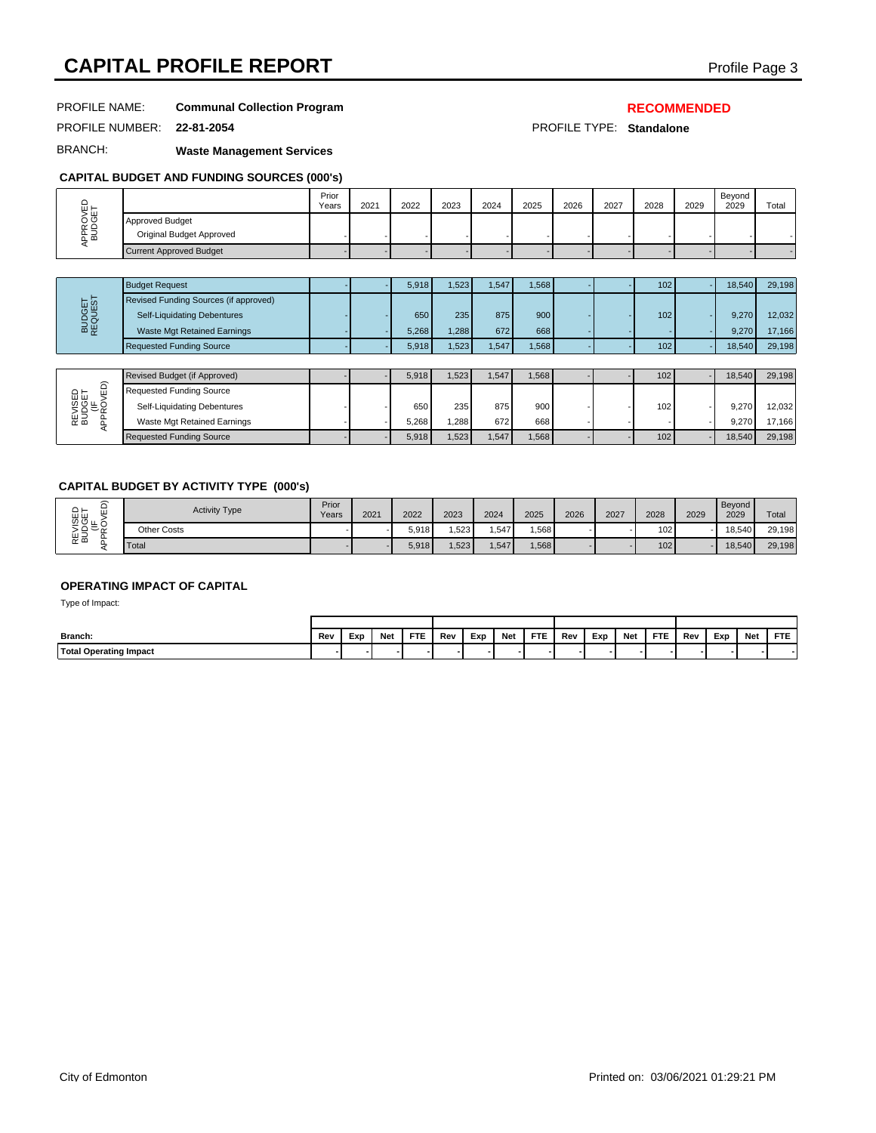# **CAPITAL PROFILE REPORT CAPITAL PROFILE REPORT**

# PROFILE NAME: **Communal Collection Program**

# **RECOMMENDED**

PROFILE NUMBER: **22-81-2054** PROFILE TYPE: **Standalone**

BRANCH: **Waste Management Services**

## **CAPITAL BUDGET AND FUNDING SOURCES (000's)**

|                          |                                             | Prior<br>Years | 2021 | 2022 | 2023 | 2024 | 2025 | 2026 | 2027 | 2028 | 2029 | Bevond<br>2029 | Total |
|--------------------------|---------------------------------------------|----------------|------|------|------|------|------|------|------|------|------|----------------|-------|
| тщ.<br>ט ר<br>≃ ≏<br>റമെ | Approved Budget<br>Original Budget Approved |                |      |      |      |      |      |      |      |      |      |                |       |
|                          | Current Approved Budget                     |                |      |      |      |      |      |      |      |      |      |                |       |

|            | <b>Budget Request</b>                 |  | 5,918 | 1,523            | .547 | 1,568            |  | 102              | 18.540 | 29,198 |
|------------|---------------------------------------|--|-------|------------------|------|------------------|--|------------------|--------|--------|
| <b>TSI</b> | Revised Funding Sources (if approved) |  |       |                  |      |                  |  |                  |        |        |
| 의 호        | Self-Liquidating Debentures           |  | 650   | 235 <sub>1</sub> | 875  | 900 <sup>1</sup> |  | 102 <sub>1</sub> | 9.270  | 12,032 |
| 용          | Waste Mgt Retained Earnings           |  | 5,268 | .288             | 672  | 668              |  |                  | 9.270  | 17.166 |
|            | <b>Requested Funding Source</b>       |  | 5,918 | .523             | .547 | 1.568            |  | 102              | 18.540 | 29,198 |

| $\widehat{\phantom{a}}$ | Revised Budget (if Approved)    |  | 5,918 | .523 | ,547 | 1,568 |  | 102 <sub>1</sub> | 18.540 | 29,198 |
|-------------------------|---------------------------------|--|-------|------|------|-------|--|------------------|--------|--------|
|                         | Requested Funding Source        |  |       |      |      |       |  |                  |        |        |
| $\bar{\phantom{0}}$     | Self-Liquidating Debentures     |  | 650   | 235  | 875  | 900   |  | 102 <sub>1</sub> | 9.270  | 12,032 |
| Ea                      | Waste Mgt Retained Earnings     |  | 5.268 | .288 | 672  | 668   |  |                  | 9.270  | 17.166 |
|                         | <b>Requested Funding Source</b> |  | 5,918 | .523 | ,547 | 1,568 |  | 102              | 18.540 | 29,198 |

## **CAPITAL BUDGET BY ACTIVITY TYPE (000's)**

| ລ<br>REVISED<br>BUDGET<br>LIF<br>PPROVED | <b>Activity Type</b>               | Prior<br>Years | 2021 |            | 2022  | 2023  | 2024 |       | 2025  | 2026 | 2027 |     | 2028       | 2029 | Beyond<br>2029 |            | Total      |
|------------------------------------------|------------------------------------|----------------|------|------------|-------|-------|------|-------|-------|------|------|-----|------------|------|----------------|------------|------------|
|                                          | Other Costs                        |                |      |            | 5,918 | 1,523 |      | 1,547 | 1,568 |      |      |     | 102        |      | 18,540         |            | 29,198     |
|                                          | Total                              |                |      |            | 5,918 | 1,523 |      | 1,547 | 1,568 |      |      |     | 102        |      | 18,540         |            | 29,198     |
| Type of Impact:                          | <b>OPERATING IMPACT OF CAPITAL</b> |                |      |            |       |       |      |       |       |      |      |     |            |      |                |            |            |
|                                          |                                    |                |      |            |       |       |      |       |       |      |      |     |            |      |                |            |            |
| Branch:                                  |                                    | Rev            | Exp  | <b>Net</b> | FTE   | Rev   | Exp  | Net   | FTE   | Rev  | Exp  | Net | <b>FTE</b> | Rev  | Exp            | <b>Net</b> | <b>FTE</b> |
| Total Operating Impact                   |                                    |                |      |            |       |       |      |       |       |      |      |     |            |      |                |            | ٠          |

# **OPERATING IMPACT OF CAPITAL**

| Branch:                      | Rev | Exp | Net | <b>FTE</b> | Rev | Exp | Net | <b>FTE</b> | Rev | Exp | Net | <b>FTE</b> | Rev | Exp | Net | FTE |  |  |
|------------------------------|-----|-----|-----|------------|-----|-----|-----|------------|-----|-----|-----|------------|-----|-----|-----|-----|--|--|
| 'Total<br>l Operating Impact |     |     |     |            |     |     |     |            |     |     |     |            |     |     |     |     |  |  |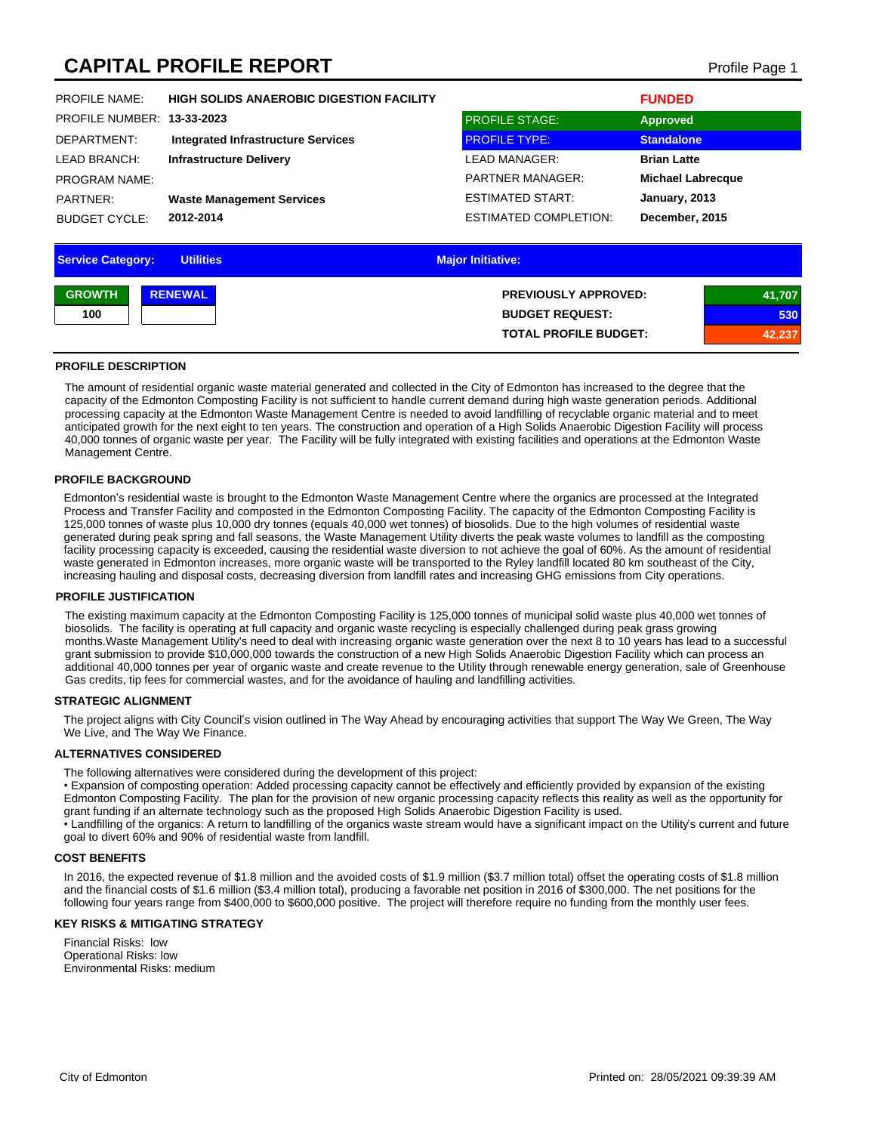# **CAPITAL PROFILE REPORT CAPITAL PROFILE REPORT**

| <b>PROFILE NAME:</b>   | <b>HIGH SOLIDS ANAEROBIC DIGESTION FACILITY</b> |                              | <b>FUNDED</b>            |
|------------------------|-------------------------------------------------|------------------------------|--------------------------|
| <b>PROFILE NUMBER:</b> | 13-33-2023                                      | <b>PROFILE STAGE:</b>        | <b>Approved</b>          |
| DEPARTMENT:            | <b>Integrated Infrastructure Services</b>       | <b>PROFILE TYPE:</b>         | <b>Standalone</b>        |
| LEAD BRANCH:           | <b>Infrastructure Delivery</b>                  | <b>LEAD MANAGER:</b>         | <b>Brian Latte</b>       |
| <b>PROGRAM NAME:</b>   |                                                 | <b>PARTNER MANAGER:</b>      | <b>Michael Labrecque</b> |
| PARTNER:               | <b>Waste Management Services</b>                | ESTIMATED START:             | January, 2013            |
| <b>BUDGET CYCLE:</b>   | 2012-2014                                       | <b>ESTIMATED COMPLETION:</b> | December, 2015           |
|                        |                                                 |                              |                          |

| <b>Service Category:</b><br><b>Utilities</b> | <b>Major Initiative:</b>     |        |
|----------------------------------------------|------------------------------|--------|
| <b>GROWTH</b><br><b>RENEWAL</b>              | <b>PREVIOUSLY APPROVED:</b>  | 41,707 |
| 100                                          | <b>BUDGET REQUEST:</b>       | 530    |
|                                              | <b>TOTAL PROFILE BUDGET:</b> | 42,237 |

#### **PROFILE DESCRIPTION**

The amount of residential organic waste material generated and collected in the City of Edmonton has increased to the degree that the capacity of the Edmonton Composting Facility is not sufficient to handle current demand during high waste generation periods. Additional processing capacity at the Edmonton Waste Management Centre is needed to avoid landfilling of recyclable organic material and to meet anticipated growth for the next eight to ten years. The construction and operation of a High Solids Anaerobic Digestion Facility will process 40,000 tonnes of organic waste per year. The Facility will be fully integrated with existing facilities and operations at the Edmonton Waste Management Centre.

### **PROFILE BACKGROUND**

Edmonton's residential waste is brought to the Edmonton Waste Management Centre where the organics are processed at the Integrated Process and Transfer Facility and composted in the Edmonton Composting Facility. The capacity of the Edmonton Composting Facility is 125,000 tonnes of waste plus 10,000 dry tonnes (equals 40,000 wet tonnes) of biosolids. Due to the high volumes of residential waste generated during peak spring and fall seasons, the Waste Management Utility diverts the peak waste volumes to landfill as the composting facility processing capacity is exceeded, causing the residential waste diversion to not achieve the goal of 60%. As the amount of residential waste generated in Edmonton increases, more organic waste will be transported to the Ryley landfill located 80 km southeast of the City, increasing hauling and disposal costs, decreasing diversion from landfill rates and increasing GHG emissions from City operations.

#### **PROFILE JUSTIFICATION**

The existing maximum capacity at the Edmonton Composting Facility is 125,000 tonnes of municipal solid waste plus 40,000 wet tonnes of biosolids. The facility is operating at full capacity and organic waste recycling is especially challenged during peak grass growing months.Waste Management Utility's need to deal with increasing organic waste generation over the next 8 to 10 years has lead to a successful grant submission to provide \$10,000,000 towards the construction of a new High Solids Anaerobic Digestion Facility which can process an additional 40,000 tonnes per year of organic waste and create revenue to the Utility through renewable energy generation, sale of Greenhouse Gas credits, tip fees for commercial wastes, and for the avoidance of hauling and landfilling activities.

#### **STRATEGIC ALIGNMENT**

The project aligns with City Council's vision outlined in The Way Ahead by encouraging activities that support The Way We Green, The Way We Live, and The Way We Finance.

#### **ALTERNATIVES CONSIDERED**

The following alternatives were considered during the development of this project:

• Expansion of composting operation: Added processing capacity cannot be effectively and efficiently provided by expansion of the existing Edmonton Composting Facility. The plan for the provision of new organic processing capacity reflects this reality as well as the opportunity for grant funding if an alternate technology such as the proposed High Solids Anaerobic Digestion Facility is used.

• Landfilling of the organics: A return to landfilling of the organics waste stream would have a significant impact on the Utility's current and future goal to divert 60% and 90% of residential waste from landfill.

#### **COST BENEFITS**

In 2016, the expected revenue of \$1.8 million and the avoided costs of \$1.9 million (\$3.7 million total) offset the operating costs of \$1.8 million and the financial costs of \$1.6 million (\$3.4 million total), producing a favorable net position in 2016 of \$300,000. The net positions for the following four years range from \$400,000 to \$600,000 positive. The project will therefore require no funding from the monthly user fees.

### **KEY RISKS & MITIGATING STRATEGY**

Financial Risks: low Operational Risks: low Environmental Risks: medium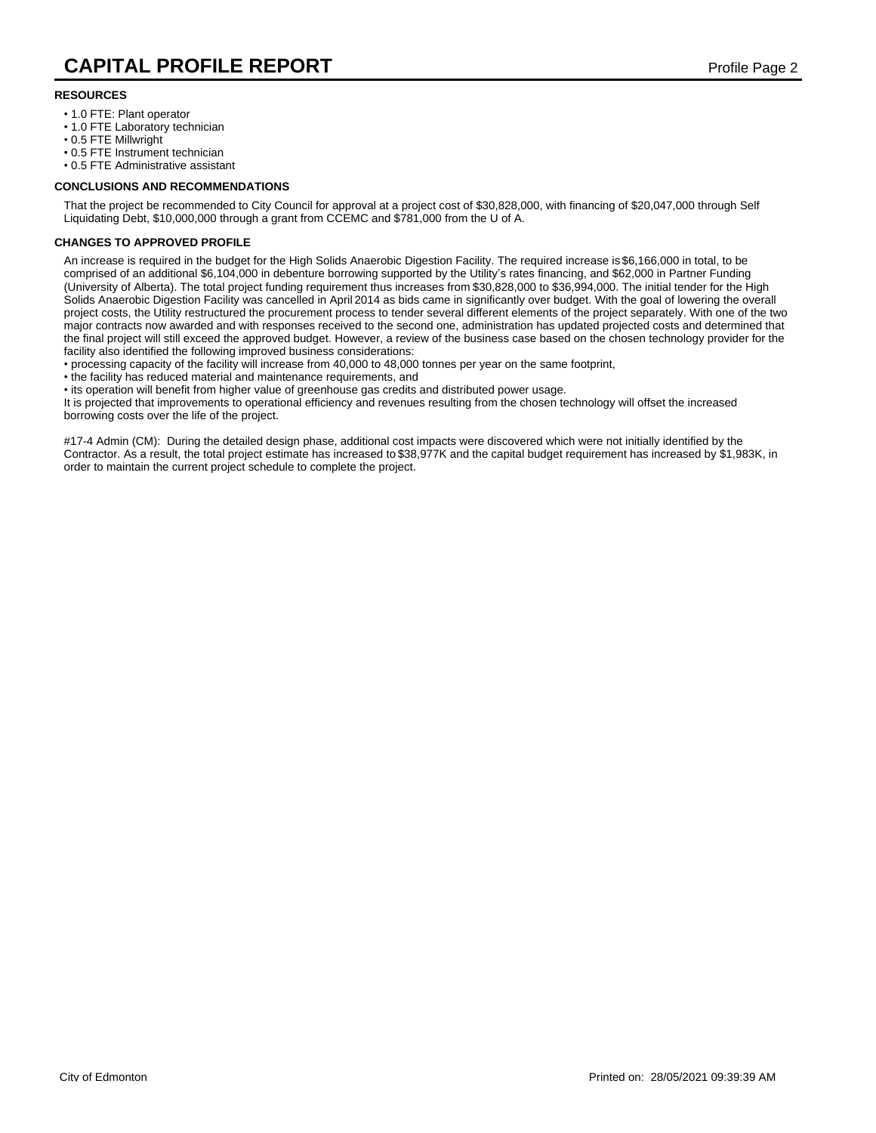### **RESOURCES**

- 1.0 FTE: Plant operator
- 1.0 FTE Laboratory technician
- 0.5 FTE Millwright
- 0.5 FTE Instrument technician
- 0.5 FTE Administrative assistant

### **CONCLUSIONS AND RECOMMENDATIONS**

That the project be recommended to City Council for approval at a project cost of \$30,828,000, with financing of \$20,047,000 through Self Liquidating Debt, \$10,000,000 through a grant from CCEMC and \$781,000 from the U of A.

#### **CHANGES TO APPROVED PROFILE**

An increase is required in the budget for the High Solids Anaerobic Digestion Facility. The required increase is \$6,166,000 in total, to be comprised of an additional \$6,104,000 in debenture borrowing supported by the Utility's rates financing, and \$62,000 in Partner Funding (University of Alberta). The total project funding requirement thus increases from \$30,828,000 to \$36,994,000. The initial tender for the High Solids Anaerobic Digestion Facility was cancelled in April 2014 as bids came in significantly over budget. With the goal of lowering the overall project costs, the Utility restructured the procurement process to tender several different elements of the project separately. With one of the two major contracts now awarded and with responses received to the second one, administration has updated projected costs and determined that the final project will still exceed the approved budget. However, a review of the business case based on the chosen technology provider for the facility also identified the following improved business considerations:

• processing capacity of the facility will increase from 40,000 to 48,000 tonnes per year on the same footprint,

• the facility has reduced material and maintenance requirements, and

• its operation will benefit from higher value of greenhouse gas credits and distributed power usage.

It is projected that improvements to operational efficiency and revenues resulting from the chosen technology will offset the increased borrowing costs over the life of the project.

#17-4 Admin (CM): During the detailed design phase, additional cost impacts were discovered which were not initially identified by the Contractor. As a result, the total project estimate has increased to \$38,977K and the capital budget requirement has increased by \$1,983K, in order to maintain the current project schedule to complete the project.